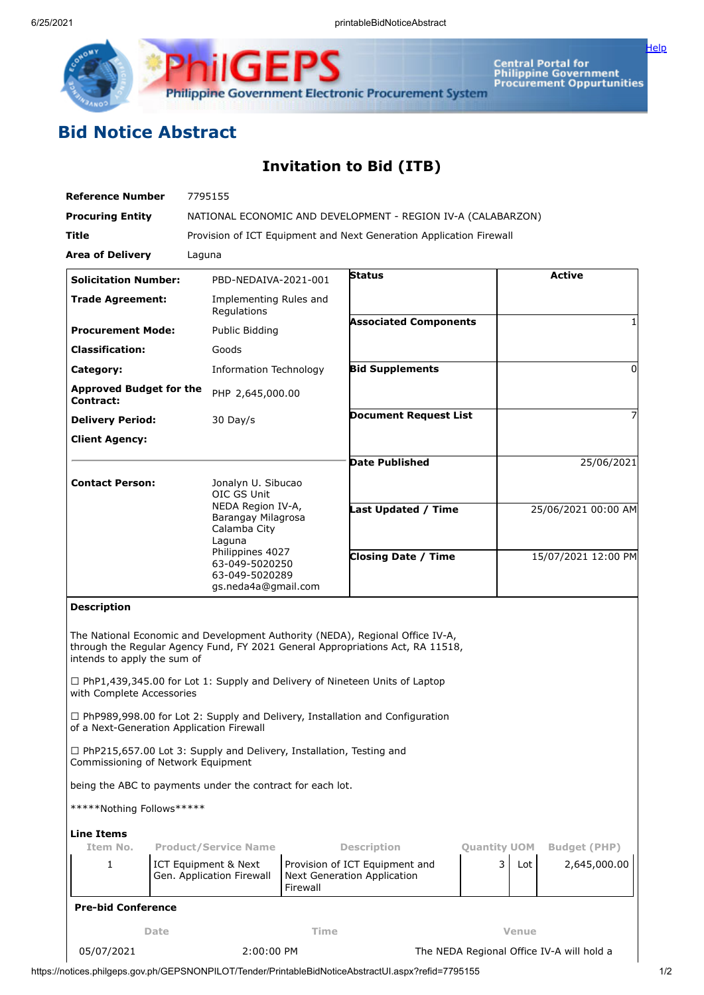

Central Portal for<br>Philippine Government<br>Procurement Oppurtunities

<u>[Help](javascript:void(window.open()</u>

## **Bid Notice Abstract**

## **Invitation to Bid (ITB)**

| <b>Reference Number</b>                                                                                     |                                                   |                                                                                                        |          | 7795155                                                                                                                                                         |                                           |                     |                                     |  |  |  |
|-------------------------------------------------------------------------------------------------------------|---------------------------------------------------|--------------------------------------------------------------------------------------------------------|----------|-----------------------------------------------------------------------------------------------------------------------------------------------------------------|-------------------------------------------|---------------------|-------------------------------------|--|--|--|
| <b>Procuring Entity</b>                                                                                     |                                                   | NATIONAL ECONOMIC AND DEVELOPMENT - REGION IV-A (CALABARZON)                                           |          |                                                                                                                                                                 |                                           |                     |                                     |  |  |  |
| Title                                                                                                       |                                                   | Provision of ICT Equipment and Next Generation Application Firewall                                    |          |                                                                                                                                                                 |                                           |                     |                                     |  |  |  |
| <b>Area of Delivery</b>                                                                                     |                                                   | Laguna                                                                                                 |          |                                                                                                                                                                 |                                           |                     |                                     |  |  |  |
| <b>Solicitation Number:</b>                                                                                 |                                                   | PBD-NEDAIVA-2021-001                                                                                   |          | <b>Status</b>                                                                                                                                                   |                                           |                     | <b>Active</b>                       |  |  |  |
| <b>Trade Agreement:</b>                                                                                     |                                                   | Implementing Rules and<br>Regulations                                                                  |          |                                                                                                                                                                 |                                           |                     |                                     |  |  |  |
| <b>Procurement Mode:</b>                                                                                    |                                                   | Public Bidding                                                                                         |          | <b>Associated Components</b>                                                                                                                                    |                                           |                     |                                     |  |  |  |
| <b>Classification:</b>                                                                                      |                                                   | Goods                                                                                                  |          |                                                                                                                                                                 |                                           |                     |                                     |  |  |  |
| Category:                                                                                                   |                                                   | <b>Information Technology</b>                                                                          |          | <b>Bid Supplements</b>                                                                                                                                          |                                           |                     | $\Omega$                            |  |  |  |
| <b>Approved Budget for the</b><br>Contract:                                                                 |                                                   | PHP 2,645,000.00                                                                                       |          |                                                                                                                                                                 |                                           |                     |                                     |  |  |  |
| <b>Delivery Period:</b>                                                                                     |                                                   |                                                                                                        |          | <b>Document Request List</b>                                                                                                                                    |                                           |                     |                                     |  |  |  |
| <b>Client Agency:</b>                                                                                       |                                                   |                                                                                                        |          |                                                                                                                                                                 |                                           |                     |                                     |  |  |  |
|                                                                                                             |                                                   |                                                                                                        |          | <b>Date Published</b>                                                                                                                                           |                                           | 25/06/2021          |                                     |  |  |  |
| <b>Contact Person:</b>                                                                                      |                                                   | Jonalyn U. Sibucao<br>OIC GS Unit<br>NEDA Region IV-A,<br>Barangay Milagrosa<br>Calamba City<br>Laguna |          |                                                                                                                                                                 |                                           |                     |                                     |  |  |  |
|                                                                                                             |                                                   |                                                                                                        |          | <b>Last Updated / Time</b>                                                                                                                                      |                                           | 25/06/2021 00:00 AM |                                     |  |  |  |
|                                                                                                             |                                                   | Philippines 4027<br>63-049-5020250<br>63-049-5020289<br>gs.neda4a@gmail.com                            |          | <b>Closing Date / Time</b>                                                                                                                                      |                                           |                     | 15/07/2021 12:00 PM                 |  |  |  |
| <b>Description</b>                                                                                          |                                                   |                                                                                                        |          |                                                                                                                                                                 |                                           |                     |                                     |  |  |  |
| intends to apply the sum of                                                                                 |                                                   |                                                                                                        |          | The National Economic and Development Authority (NEDA), Regional Office IV-A,<br>through the Regular Agency Fund, FY 2021 General Appropriations Act, RA 11518, |                                           |                     |                                     |  |  |  |
| with Complete Accessories                                                                                   |                                                   |                                                                                                        |          | □ PhP1,439,345.00 for Lot 1: Supply and Delivery of Nineteen Units of Laptop                                                                                    |                                           |                     |                                     |  |  |  |
| of a Next-Generation Application Firewall                                                                   |                                                   |                                                                                                        |          | $\Box$ PhP989,998.00 for Lot 2: Supply and Delivery, Installation and Configuration                                                                             |                                           |                     |                                     |  |  |  |
| □ PhP215,657.00 Lot 3: Supply and Delivery, Installation, Testing and<br>Commissioning of Network Equipment |                                                   |                                                                                                        |          |                                                                                                                                                                 |                                           |                     |                                     |  |  |  |
| being the ABC to payments under the contract for each lot.                                                  |                                                   |                                                                                                        |          |                                                                                                                                                                 |                                           |                     |                                     |  |  |  |
| *****Nothing Follows*****                                                                                   |                                                   |                                                                                                        |          |                                                                                                                                                                 |                                           |                     |                                     |  |  |  |
| <b>Line Items</b>                                                                                           |                                                   |                                                                                                        |          |                                                                                                                                                                 |                                           |                     |                                     |  |  |  |
| Item No.<br>1                                                                                               |                                                   | <b>Product/Service Name</b>                                                                            |          | <b>Description</b>                                                                                                                                              | <b>Ouantity UOM</b><br>3                  | Lot                 | <b>Budget (PHP)</b><br>2,645,000.00 |  |  |  |
|                                                                                                             | ICT Equipment & Next<br>Gen. Application Firewall |                                                                                                        | Firewall | Provision of ICT Equipment and<br>Next Generation Application                                                                                                   |                                           |                     |                                     |  |  |  |
| <b>Pre-bid Conference</b>                                                                                   |                                                   |                                                                                                        |          |                                                                                                                                                                 |                                           |                     |                                     |  |  |  |
| Time<br>Date                                                                                                |                                                   |                                                                                                        |          |                                                                                                                                                                 |                                           | <b>Venue</b>        |                                     |  |  |  |
| 05/07/2021                                                                                                  |                                                   | 2:00:00 PM                                                                                             |          |                                                                                                                                                                 | The NEDA Regional Office IV-A will hold a |                     |                                     |  |  |  |

https://notices.philgeps.gov.ph/GEPSNONPILOT/Tender/PrintableBidNoticeAbstractUI.aspx?refid=7795155 155